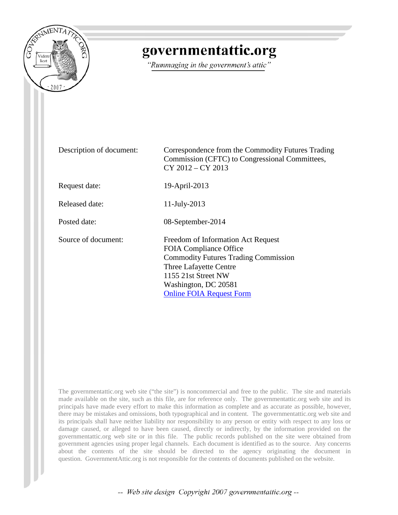

## governmentattic.org

"Rummaging in the government's attic"

Description of document: Correspondence from the Commodity Futures Trading Commission (CFTC) to Congressional Committees, CY 2012 – CY 2013 Request date: 19-April-2013 Released date: 11-July-2013 Posted date: 08-September-2014 Source of document: Freedom of Information Act Request FOIA Compliance Office Commodity Futures Trading Commission Three Lafayette Centre 1155 21st Street NW Washington, DC 20581 [Online FOIA Request Form](https://www.cftc.gov/FOI/request/index.htm)

The governmentattic.org web site ("the site") is noncommercial and free to the public. The site and materials made available on the site, such as this file, are for reference only. The governmentattic.org web site and its principals have made every effort to make this information as complete and as accurate as possible, however, there may be mistakes and omissions, both typographical and in content. The governmentattic.org web site and its principals shall have neither liability nor responsibility to any person or entity with respect to any loss or damage caused, or alleged to have been caused, directly or indirectly, by the information provided on the governmentattic.org web site or in this file. The public records published on the site were obtained from government agencies using proper legal channels. Each document is identified as to the source. Any concerns about the contents of the site should be directed to the agency originating the document in question. GovernmentAttic.org is not responsible for the contents of documents published on the website.

-- Web site design Copyright 2007 governmentattic.org --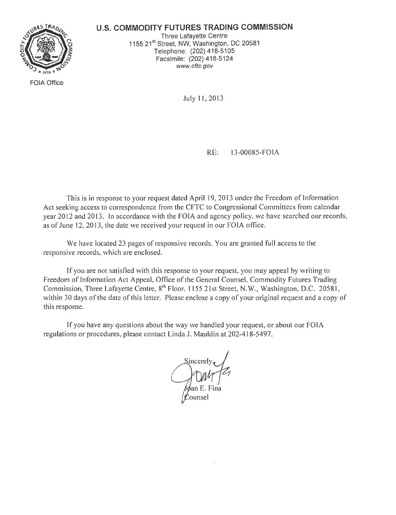#### **U.S. COMMODITY FUTURES TRADING COMMISSION**



FOIA Office

Three Lafayette Centre 1155 21<sup>st</sup> Street, NW, Washington, DC 20581 Telephone: (202) 418-5105 Facsimile: (202) 418-5124 www.cftc.gov

July 11, 2013

RE: 13-00085-FOlA

This is in response to your request dated April 19, 2013 under the Freedom of Information Act seeking access to correspondence from the CFTC to Congressional Committees from calendar year 2012 and 2013. In accordance with the FOIA and agency policy, we have searched our records, as of June 12, 2013, the date we received your request in our FOIA office.

We have located 23 pages of responsive records. You are granted full access to the responsive records, which are enclosed.

If you are not satisfied with this response to your request, you may appeal by writing to Freedom of Information Act Appeal, Office of the General Counsel, Commodity Futures Trading Commission, Three Lafayette Centre, 8<sup>th</sup> Floor, 1155 21st Street, N.W., Washington, D.C. 20581, within 30 days of the date of this letter. Please enclose a copy of your original request and a copy of this response.

If you have any questions about the way we handled your request, or about our FOIA regulations or procedures, please contact Linda J. Mauldin at 202-418-5497.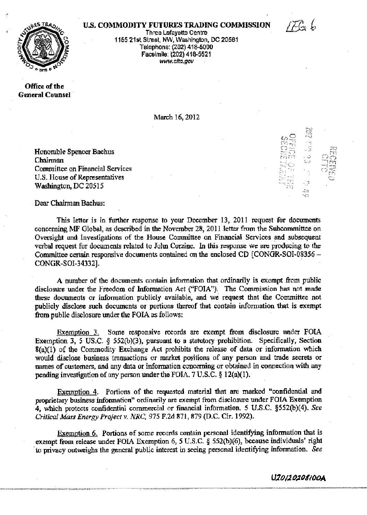#### U.S. COMMODITY FUTURES TRADING COMMISSION



 $\mathbf{x}$  ,  $\mathbf{A}$  $\mathbb{C}$  $\mathbb{C}$  if sig ... ;.· *,, ...•. ,:* ........ ,; .,.,.

*·r;·1* ... ..... , ...•



~·

Three Lafayette Centre 1155 21st Street, NW, Washington, DC 20581 Telephone: {202) 416-5000 Facsimile: (202) 418-5521 www.cfta.gov ·

Office of the General Counsel ·

March 16, 2012

Honorable Spencer Bachus Chairman Committee on Financial Services U.S. House of Representatives Washington, DC 20515

Dear Chairman Bachus:

This letter is in further response to your December 13, 2011 request for documents concerning MF Global, as described in the November 28, 2011 letter from the Subcommittee on Oversight and Investigations of the House Committee on Financial Services and subsequent verbal request for documents related to Jolm Corzine. In this response we are producing *to* the Committee certain responsive documents contained on the enclosed CD [CONGR-SOI-08356 -CONGR-SOI-34332). ,

A number of the documents contain infonnation that ordinarily is exempt from public disclosure under the Freedom of Information Act {"FOIA"). The Commission has not made these documents or information publicly available, and we request that the Committee not publicly disclose such documents or portions thereof that contain information that is exempt from public disclosure under the FOIA as follows:

Exemption 3. Some responsive records are exempt from disclosure under FOIA Exemption  $3$ , 5 US.C.  $\frac{2}{3}$  552(b)(3), pursuant to a statutory prohibition. Specifically, Section 8(a)(l) of the Commodity Exchange Act prohibits the release of data or information \vhich would disclose business transactions or market positions of any person and trade secrets or names of customers, and any data or infonnation concerning or obtained in connection with any pending investigation of any person under the FOIA. 7 U.S.C.  $\S$  12(a)(1).

Exemption 4, Portions of the requested material that are marked "confidential and proprietary business information" ordinarily are exempt from disclosure under FOIA Exemption 4~ which protects confidential commercial or financial information. 5 U.S.C. §552(b)(4). *See Critical Mass Energy Project v. NRC, 915* F.2d 871, 879 (D.C. Cir. 1992).

Exemption 6. Portions of some records contain personal identifying information that is exempt from release under FOIA Exemption 6, *5* U.S.C. § 552{b)(6), because individuals' right "to privacy outweighs the general"publlc interest in seeing personal identifying information. *See* 

U*20120810O*A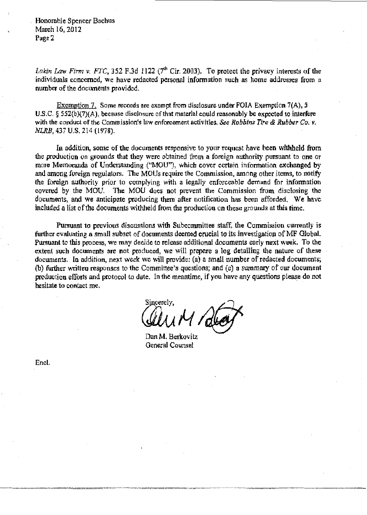. Honorable Spencer Bachus March 16, 2012 Page 2

*Lakin Law Firm v. FTC,* 352 F.3d 1122 ( $7<sup>th</sup>$  Cir. 2003). To protect the privacy interests of the individuals concerned, we have redacted personal information such as home addresses from a number of the documents provided.

Exemption 7. Some records are exempt from disclosure under FOIA Exemption 7(A), 5 U.S.C.  $\S$  552(b)(7)(A), because disclosure of that material could reasonably be expected to interfere with the conduct of the Commission's law enforcement activities. *See Robbins Tire & Rubber Co. v. NLRB.* 437 U.S. 214 (1978).

In addition, some of the documents responsive to your request have been withheld from the produotion on grounds that they were obtained from a foreign authority pursuant to one or more Memoranda of Understanding ("MOU"), which cover certain information exchanged by and among foreign regulators. The MOUs require the Commission, among other items, to notify the foreign authority prior to complying with a legally enforceable demand for information covered by the MOU. The MOU does not prevent the Commission from disclosing the documents, and we anticipate producing them after notification has been afforded. We have included a list of the documents withheld from the production on these grounds at this time.

Pursuant to previous discussions with Subcommittee staff, the Commission currently is further evaluating a small subset of documents deemed crucial to its investigation of MF Global. Pursuant to this process, we may decide to release additional documents early next week. To the extent such documents are not produced, we will prepare a log detailing the nature of these documents. In addition, next week we will provide: (a) a small number of redacted documents; (b) further written responses to the Committee's questions; and  $(c)$  a summary of our document production efforts and protocol to date. In the meantime, if you have any questions please do not hesitate to contact me.

incerely,

Dan M. Berkovitz General Counsel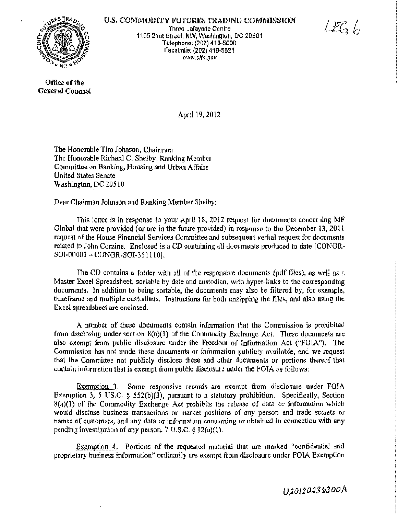

U.S. COMMODITY FUTURES TRADING COMMISSION Three Lafayette Centre 1155 21st Street, NW, Washlngron, DO 20581 Telephone: (202) 418-5000 Facsimile: (202) 418·5521 www.cftc.gov

LEG L

Office of the General Counsel

April l9, 2012

The Honorable Tim Johnson, Chairman The Honorable Richard C. Shelby, Ranking Member Conunittee on Banking, Housing and Urban Affairs United States Senate Washington, DC 20510

Dear Chairman Johnson and Ranking Member Shelby:

This letter is in response to your April 18, 2012 request for documents concerning MF Global that were provided (or are in the future provided) in response to the December 13, 2011 request of the House Financial Services Committee and subsequent verbal request for documents related to John Corzine. Enclosed is a CD containing all documents produced to date [CONGR-SOI-00001 - CONGR-SOI-351110].

The CD contains a folder with all of the responsive documents (pdf files), as well as a Master Excel Spreadsheet, sortable by date and custodian, with hyper~links to the corresponding documents. In addition to being sortable, the documents may also be filtered by, for example, timeframe and multiple custodians. Instructions for both unzipping the files, and also using the Excel spreadsheet are enclosed.

A number of these documents contain infonnation that the Commission is prohibited from disclosing under section  $8(a)(1)$  of the Commodity Exchange Act. These documents are also exempt from public disclosure under the Freedom of Information Act (~'FOIN'). The Commission has not made these documents or information publicly available, and we request that the Committee not publicly disclose these and other documents or portions thereof that contain information that is exempt from public disclosure under the FOIA as follows:

Exemption 3. Some responsive records are exempt from disclosure under FOIA Exemption 3, 5 US.C. § 552(b)(3), pursuant to a statutory prohibition. Specifically, Section 8(a)(l) of the Commodity Exchange Act prohibits the release of data or information which would disclose business transactions or market positions of any person and trade secrets or names of customers, and any data or information concerning or obtained in connection with any pending investigation of any person. 7 U.S.C. § 12(a)(l).

Exemption 4. Portions of the requested material that are marked "confidential and proprietary business information'' ordinarily are exempt from disclosure under FOIA Exemption

U20120236300A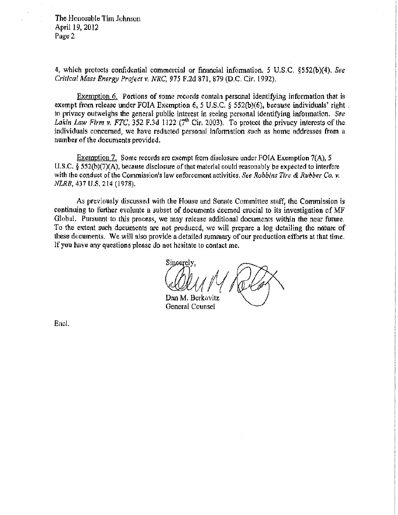The Honorable Tim Johnson April 19, 2012 Page 2

4, which protects confidential commercial or financial information. 5 U.S.C. §552(b)(4). See *Critical Mass Energy Project v. NRG,* 975 F.2d 871, 879 (D.C. Cir. 1992).

Exemption 6. Portions of some records contain personal identifying information that is exempt from release under FOIA Exemption 6, *5* U.S.C. § 552(b){6), because individuals' right . to privacy outweighs the general public interest in seeing personal identifying information. See Lakin Law Firm v. FTC,  $352$  F.3d 1122 ( $7<sup>th</sup>$  Cir. 2003). To protect the privacy interests of the individuals concerned, we have redacted personal infonnation such as home addresses from a number of the documents provided.

Exemption 21 Some records are exempt from disclosure under FOIA Exemption 7(A), *5*  U.S,C. § 552(b)(7)(A), because disclosure of that material could reasonably be expected to interfere with the conduct of the Commission's law enforcement activities. *See Robbins Tite* & *Rubber Co, v. NLRB,* 437 U.S. 214 (1978),

As previously discussed with the House and Senate Committee staff, the Commission is continuing to further evaluate a subset of documents deemed crucial to its investigation of MF Global. Pursuant to this process, we may release additional documents within the near future. To the extent such documents are not produced, we will prepare a log detailing the nature of these documents. We will also provide a detailed summary of our production efforts at that time. If you have any questions please do not hesitate to contact me.

Sincerely, *8CJLN*  Dan M. Berkovitz

General Counsel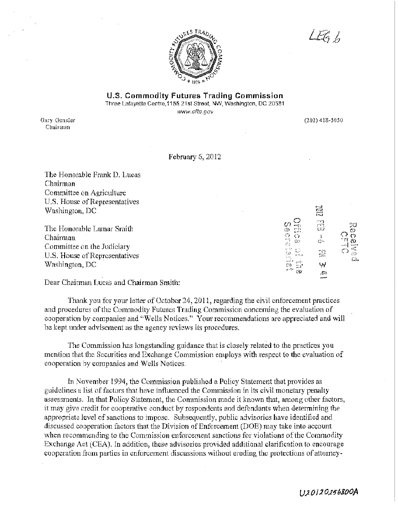

 $\overline{\mathcal{L}\mathcal{E}_0}$  fo

U.S. **Commodity Futures Trading Commission**  Three Lafayette Centre, 1155 21st Street, NW, Washington, DC 20581

www.cftc.gov

Gary Gensler Chairman

 $(202)$  418-5050

Ē

n<br>CJ

 $\frac{1}{\mathbb{Q}^2}$ 

2 لېيا Ė.

**Secretary** 

ES.

#### February 6, 2012

The Honorable Frank D. Lucas Chairman Committee on Agriculture U.S. House of Representatives Washington, DC

The Honorable Lamar Smith Chairman Committee on the Judiciary U.S. House of Representatives Washington, DC

Dear Chairman Lucas and Chairman Smith:

Thank you for your letter of October 24, 2011, regarding the civil enforcement practices and procedures of the Commodity Futures Trading Commission concerning the evaluation of cooperation by companies and "Wells Notices." Your recommendations are appreciated and will be kept under advisement as the agency reviews its procedmes.

The Commission has longstanding guidance that is closely related to the practices you mention that the Securities and Exchange Commission employs with respect to the evaluation of cooperation by companies and Wells Notices. ·

In November 1994, the Commission published a Policy Statement that provides as guidelines a list of factors that have influenced the Commission in its civil monetary penalty assessments. In that Policy Statement, the Commission made it known that, among other factors, it may give credit for cooperative conduct by respondents and defendants when determining the appropriate level of sanctions to impose. Subsequently, public advisories have identified and discussed cooperation factors that the Division of Enforcement (DOE) may take into account when recommending to the Commission enforcement sanctions for violations of the Commodity Exchange Act (CEA). In addition, these advisories provided additional clarification to encourage cooperation from parties in enforcement discussions without eroding the protections of attorney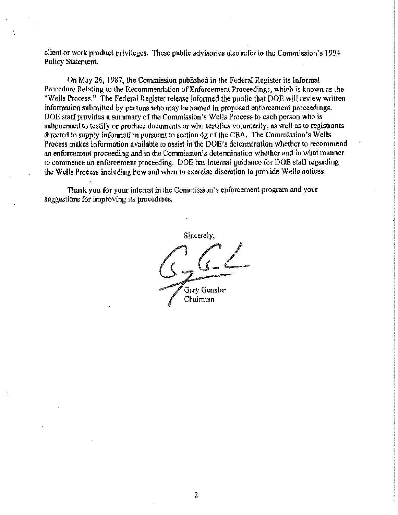client or work product privileges. These public advisories also refer to the Commission's 1994 Policy Statement.

On May 26, 1987, the Commission published in the Federal Register its Informal Procedure Relating to the Recommendation of Enforcement Proceedings, which is known as the "Wells Process." The Federal Register release informed the public that DOE will review written information submitted by persons who may be named in proposed enforcement proceedings. DOE staff provides a summary of the Commission's Wells Process to each person who is subpoenaed to testify or produce documents or who testifies voluntarily, as well as to registrants directed to supply infonnation pursuant to section 4g of the CEA. The Commission's Wells Process makes information available to assist in the DOE's determination whether to recommend an enforcement proceeding and in the Commission's determination whether and in what manner to commence an enforcement proceeding. DOE has internal guidance for DOE staff regarding the Wells Process including how and when to exercise discretion to provide Wells notices.

Thank you for your interest in the Commission's enforcement program and your suggestions for improving its procedures.

Sincerely, Gary Gensler Chairman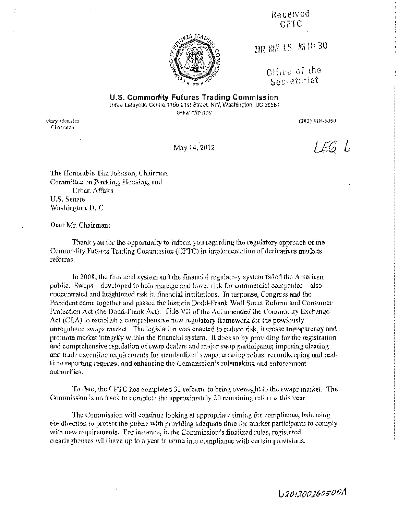Received er-re



2012 路 15 周 11:30

Office of the Secretariat

U.S. Commodity Futures Trading Commission Three Lafayette Centre, 1155 21st Street, NW, Washington, DC 20581

www.cftc.gov

Gary Gensler Chairm.an

(202) 418-5050

 $166h$ 

May 14, 2012

'Ihe Honorable Tim Johnson) Chairman Committee on Banking, Housing, and Urban Affairs U.S. Senate Washington, D. C.

Dear Mr. Chairman:

Thank you for the opportunity to inform you regarding the regulatory approach of the Commodity Futures Trading Commission (CFTC) in implementation of derivatives markets reforms.

In 2008, the financial system and the financial regulatory system failed the American public. Swaps  $-\frac{1}{2}$  developed to help manage and lower risk for commercial companies  $-\frac{1}{2}$ concentrated and heightened risk in financial institutions. ln response, Congress and the President came together and passed the hlstoric Dodd-Frank Wall Street Reform and Consumer Protection Act (the Dodd-Frank Act). Title VII of the Act amended the Commodity Exchange Act (CEA) to establish a comprehensive new regulatory framework for the previously unregulated swaps market. The legislation was enacted to reduce risk, increase transparency and promote market integrity within the financial system. It does so by providing for the registration and. comprehensive regulation of swap dealers and major swap participants; imposing clearing and trade execution requirements for standardized swaps; creating robust recordkeeping and realtime reporting regimes; and enhancing the Commission's rulemaking and enforcement authorities.

To date, the CFTC has completed 32 reforms to bring oversight to the swaps market. The Commission is on track to complete the approximately 20 remaining reforms this year.

The Commission will continue looking at appropriate timing for compliance, balancing the direction to protect the public wlth providing adequate time for market participants to comply with new requirements. For instance, in the Commission's finalized rules, registered clearinghouses will have up to a year to come into compliance with certain provisions.

U201200260500A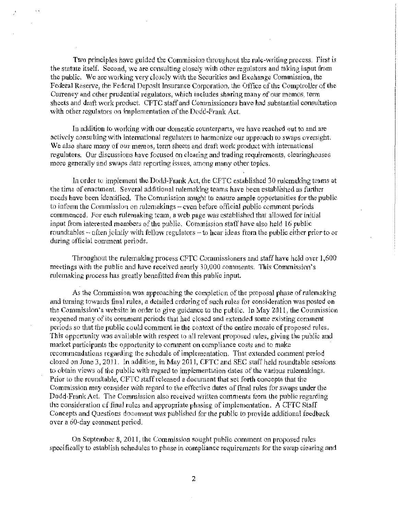Two principles have guided the Commission throughout the rule-writing process. First is the statute itself. Second, we are consulting closely with other regulators and taking input from the public. We are woxklng very closely with the Securities and Exchange Commission, the Federal Reserve: the Federal Deposit Insurance Corporation, the Offfoe of the Comptroller of the Cunency and other prudential regulators, which includes sharing many of our memos, term sheets and draft work product. CFTC staff and Commissioners have had substantial consultation with other regulators on implementation of the Dodd-Frank Act.

In addition to working with our domestic counterparts, we have reached out to and are actively consulting with international regulators to harmonize our approach to swaps oversight. We also share many of our memos, term sheets and draft work product with international regulators. Our discussions have focused on clearing and trading requirements, clearinghouses more generally and swaps data reporting issues, among many other topics.

In order to implement the Dodd-Frank Act, the CFTC established 30 rulemaking teams at the time of enactment. Several additional rulemaking teams have been established as further needs have been identified. The Commission sought to ensure ample opportunities for the public to inform the Commission on rulemakings -- even before official public comment periods commenced. For each rulemaking team, a web page was established that allowed for initial input from interested members of the public. Commission staff have also held 16 public. roundtables – often jointly with fellow regulators – to hear ideas from the public either prior to or during official comment periods.

Throughout the rulemaking process CFTC Commissioners and staff have held over 1,600 meetings with the public and have received nearly 30,000 comments. This Commission's rulemaking process has greatly benefitted from this public input.

As the Commission was approaching the completion of the proposal phase of rulemaking and turning towards final rules, a detailed ordering of such rules for consideration was posted on the Commission's website in order to give guidance to the public. In May 201 l, the Commission reopened many of its comment periods that had closed and extended some existing comment periods so that the public could comment in the context of the entire mosaic of proposed rules. Ibis opportunity was available with respect to all relevant proposed rules, giving the public and market participants the opportunity to comment on compliance costs and to make recommendations regarding the schedule of implementation. That extended comment period closed on June 3, 2011. In addition, in May 2011, CFTC and SEC staff held roundtable sessions to obtain views of the public with regard to implementation dates of the various rulemakings, Prior to the roundtable, CFTC staff released a document that set forth concepts that the Commission may consider with regard to the effective dates of final rules for swaps under the Dodd-Frank Act. The Commission also received written comments from the public regarding the consideration of final rules and appropriate phasing of implementation. A CFTC Staff Concepts and Questions document was published for the public to provide additional feedback over a 60-day comment period.

On September 8. 2011, the Commission sought public comment on proposed rules specifically to establish schedules to phase in compliance requirements for the swap clearing and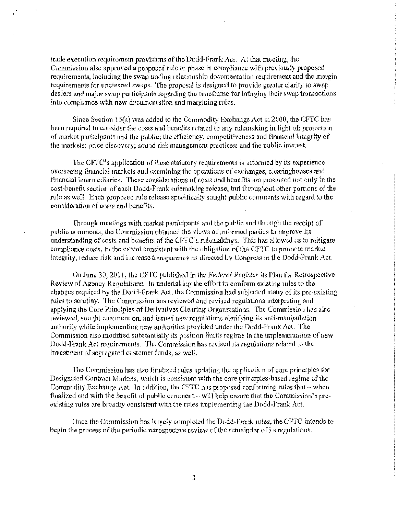trade execution requirement provisions of the Dodd-Frank Act. At that meeting, the Commission also approved a proposed rule to phase in compliance with previously proposed requirements, including the swap trading relationship documentation requirement and the margin reguirements for uncleared swaps. The proposal is designed to provide grenter clarity to swap dealers and major swap participants regarding the timeframe for bringing their swap transactions into compliance with new documentation and margining rules.

'.

Since Section  $15(a)$  was added to the Commodity Exchange Act in 2000, the CFTC has been required to consider the costs and benefits related to any rulemaking in light of; protection of market participants and the public; the efficiency, competitiveness and financial integrity of the markets; price discovery; sound risk management practices; and the public interest.

The CFTC's application of these statutory requirements is informed by its experience overseeing financial markets and examining the operations of exchanges, clearinghouses and .financial intermediaries. These considerations of costs and benefits are presented not only in the cost-benefit section of each Dodd-Frank rulemaking release, but throughout other portions of the rule as well. Each proposed rule release specifically sought public comments with regard to the consideration of costs and benefits.

Through meetings with market participants and the public and through the receipt of public comments, the Commission obtained the views of informed parties to improve its understanding of costs and benefits of the CFTC's rulemakings. This has allowed us to mitigate compliance costs, to the extent consistent with the obligation of the CFTC to promote market integrity, reduce risk and increase transparency as directed by Congress in the Dodd-Frank Act.

On June 30, 2011, the CFTC published in the *Federal Register* its Plan for Retrospective Review of Agency Regulations. In undertaking the effort to conform existing rules to the changes required by the Dodd-Frank Act, the Commission had subjected many of its pre-existing rules to scrutiny. The Commission has reviewed and revised regulations interpreting and applying the Core Principles of Derivatives Clearing Organizations. The Commission has also reviewed, sought comment on, and issued new regulations clarifying its anti-manipulation authority while implementing new authorities provided under the Dodd-Frank Act. The Commission also modified substantially its position limits regime in the implementation of new Dodd~Frank Act requirements. The Commission has revised its regulations related to the investment of segregated customer funds, as well.

The Commission has also finalized rules updating the application of core principles for Designated Contract Markets, which is consistent with the core principles-based regime of the Commodity Exchange Act. In addition, the CFTC has proposed conforming rules that  $-$  when finalized and with the benefit of public comment $-w$ ill help ensure that the Commission's preexisting rules are broadly consistent with the rules implementing the Dodd-Frank Act.

Once the Commission has largely completed the Dodd-Frank rules, the CFTC intends to begin the process of the periodic retrospective review of the remainder of *its* regulations.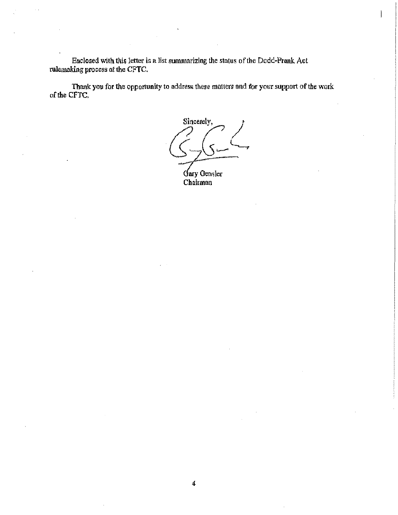Enclosed with this letter is a list summarizing the status of the Dodd-Frank Act rulemaldng process at the CFTC.

Thank you for the opportunity to address these matters and for your support of the work of the CFTC.

Sincerely, Gary Gensler Chairman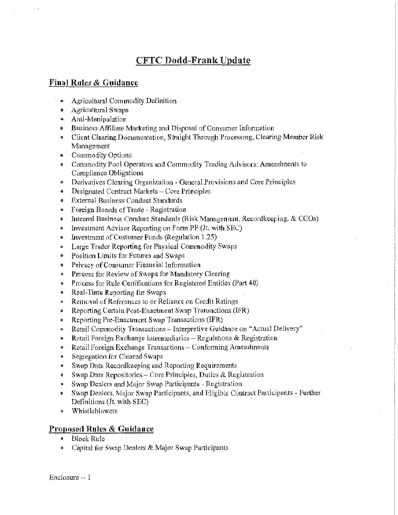### CFTC Dodd-Frank Update

#### Final Rules & Guidance

- **1111 Agricultural Commodity Definition**
- Agricultural Swaps
- Anti-Manipulation
- Business Affiliate Marketing and Disposal of Consumer Information
- Client Clearing Documentation, Straight Through Processing, Clearing Member Risk **Management**
- Commodity Options
- Commodity Pool Operators and Commodity Trading Advisors: Amendments to Compliance Obligations
- Derivatives Clearing Organization General Provisions and Core Principles
- Designated Contract Markets Core Principles
- External Business Conduct Standards
- Foreign Boards of Trade Registration
- Internal Business Conduct Standards (Risk Management, Recordkeeping, & CCOs)
- Investment Advisor Reporting on Form  $PF(It, with SEC)$
- Investment of Customer Funds (Regulation 1.25)
- Large Trader Reporting for Physical Commodity Swaps
- Position Limits for Futures and Swaps
- Privacy of Consumer Financial Information
- Process for Review of Swaps for Mandatory Clearing
- Process for Rule Certifications for Registered Entities (Part 40)
- Real-Time Reporting for Swaps
- Removal of References to or Reliance on Credit Ratings
- Reporting Certain Post~Enactment Swap Transactions (IFR)
- Reporting Pre-Enactment Swap Transactions (IFR)
- Retail Commodity Transactions Interpretive Guidance on "Actual Delivery"
- Retail Foreign Exchange Intermediaries Regulations  $\&$  Registration
- Retail Foreign Exchange Transactions Conforming Amendments
- Segregation for Cleared Swaps
- Swap Data Recordkeeping and Reporting Requirements
- Swap Data Repositories Core Principles, Duties & Registration .
- Swap Dealers and Major Swap Participants~ Registration
- Swap Dealers, Major Swap Participants, and Eligible Contract Participants Further Definitions (Jt. with SEC) ,
- Whistlehlowers

#### Proposed Rules & Guidance

- Block Rule
- Capital for Swap Dealers & Major Swap Participants

Enclosure -- l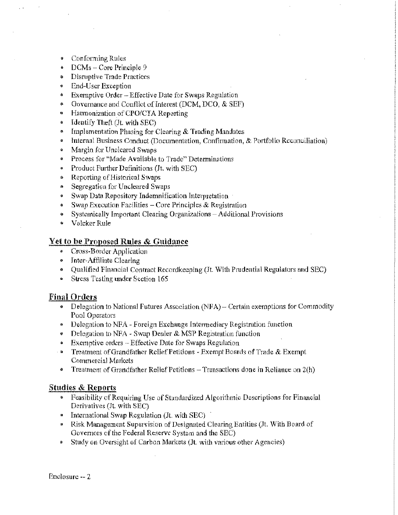- Conforming Rules
- DCMs Core Principle 9
- Disruptive Trade Practices
- End-User Exception
- Exemptive Order Effective Date for Swaps Regnlation
- Governance and Conflict of Interest (DCM, DCO, & SEF)
- Harmonization of CPO/CTA Reporting
- Identify Theft (Jt. with SEC)
- Implementation Phasing for Clearing & Trading Mandates
- Internal Business Conduct (Documentation, Confirmation, & Portfolio Reconciliation)
- Margin for Uncleared Swaps
- Process for "Made Available to Trade" Determinations
- Product Further Definitions (Jt. with SEC)
- Reporting of Histoxical Swaps
- Segregation for Uncleared Swaps
- Swap Data Repository Indemnification Interpretation
- Swap Execution Facilities  $-$  Core Principles & Registration
- Systemically Important Clearing Organizations Additional Provisions
- Volcker Rule

#### **:Vet to be Proposed Rules & Guidance**

- Cross-Border Application
- Jntet-Affiliate Clearing
- Qualified Financial Contract Recordkeeping (Jt. With Prudential Regulators and SEC)
- Stress Testing under Section 165

#### **Final Orders**

- Delegation to National Futures Association (NFA) Certain exemptions for Commodity Pool Operators
- Delegation to NFA Foreign Exchange Intermediary Registration function
- Delegation to NFA Swap Dealer  $\&$  MSP Registration function
- Exemptive orders -- Effective Date for Swaps Regulation
- · Treatment of Grandfather Relief Petitions Exempt Boards of Trade & Exempt Commercial Markets
- Treatment of Grandfather Relief Petitions  $-$  Transactions done in Reliance on  $2(h)$

#### **Studies & Reports**

- Fcasjbility of Requiring Use of Standardized Algorithmic. Descriptions for Financial Derivatives (Jt. with SEC)
- **•** International Swap Regulation (Jt. with SEC)
- Risk Management Supervision of Designated Clearing Entities (Jt. With Board of Governors of the Federal Reserve System and the SEC)
- Study on Oversight of Carbon Markets (Jt. with various other Agencies)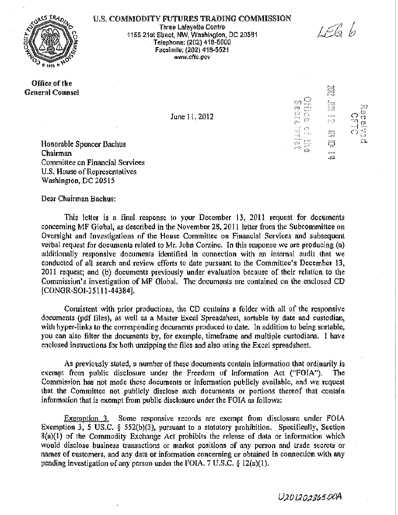

#### U.S. COMMODITY FUTURES TRADING COMMISSION

Three Lafayette Centre 1155 21st Street, NW, Washington, DC 20581 Telephone: (202) 418-5000 Facsimfle; (202) 418-5521 www.cftc.gov

Office of the General Counsel

June 1 l, 2012

思 fa<br>Bà  $\overline{3}$  $\frac{1}{\sqrt{2}}$  $\frac{1}{10}$  $\langle \rangle$ r.<br>2 ('J ·····( ·····;·, ر<br>ت ~-:::: *zi!:* 

anang<br>Lihat

LEG 6

 $\mathbb{X}$ 

easada

€Σ

Honorable Spencer Bachus **Chairman** Committee on Financial Services U.S. House of Representatives Washington, DC 20515

Dear Ghairman Bachus:

This letter is a final response to your December 13, 2011 request for documents concerning MF Global, as described in the November 28, 2011 letter from the Subcommittee on Oversight and Investigations of the House Committee on Financial Services and subsequent verbal request for documents related to Mr. John Corzine, In this response we are producing  $(a)$ additionally responsive documents identified in connection with an internal audit that we conducted of all search and review efforts to date pursuant to the Committee's December 13, 2011 request; and (b) documents previously under evaluation because of their relation to the Commission's investigation of MF Global. The documents are contained on the enclosed CD [CONGR-SOl-35111-44384].

Consistent with prior productions, the CD contains a folder with all of the responsive documents (pdf files), as well as a Master Excel Spreadsheet, sortable by date and custodian, with hyper-links to the corresponding documents produced to date. In addition to being sortable, you can also filter the documents by, for example, timeframe and multiple custodians. I have enclosed instructions for both unzipping the files and also using the Excel spreadsheet.

As previously stated, a number of these documents contain information that ordinarily is exempt from public disclosure under the Freedom of Information Act ("FOIA"). The Commission has not made these documents or information publicly available, and we request that the Committee not publicly disclose such documents or portions thereof that contain information that is exempt from public disclosure under the FOIA as follows:

 $Exemption$  3. Some responsive records are exempt from disclosure under  $FOIA$ Exemption 3, *5* US.C. § 552(b)(3), pursuant to a statutory prohibition. Specifically, Section  $8(a)(1)$  of the Commodity Exchange Act prohibits the release of data or information which would disclose business transactions or market positions of any person and trade secrets or names of customers, and any data or information concerning or obtained in connection with any pending investigation of any person under the FOIA. 7 U.S.C. § i2(a)(l).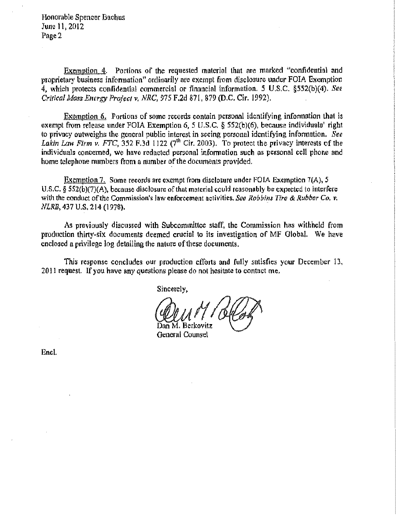Honorable Spencer Bachus June 11, 2012 Page 2

Exemption  $\dot{\mathcal{A}}$ . Portions of the requested material that are marked "confidential and proprietary business information" ordinarily are exempt from disclosure under FOIA Exemption *4,* which protects confidential commercial or financial information. *5* U.S.C. §552(b)(4). *See Crirical Mass Energy Project v. NRC, 915* F.2d 871, 879 (D.C. Cir. 1992).

Exemption 6, Portions of some records contain personal identifying information that is exempt from release under FOIA Exemption 6, 5 U.S.C. § 552(b)(6), because individuals<sup>3</sup> right to privacy outweighs the general public interest in seeing personal identifying information. *See*  Lakin Law Firm v. FTC,  $352$  F.3d 1122 ( $7<sup>th</sup>$  Cir. 2003). To protect the privacy interests of the individuals concerned, we have redacted personal information such as personal cell phone and home telephone numbers from a number of the documents provided.

Exemption 7. Some records are exempt from disclosure under FOlA Exemption 7(A). *5*  U.S.C. § SS2(b)(7)(A). because disclosure of that material could reasonably be expected to interfere with the conduct of the Commission's law enforcement activities. *See Robbins Tire & Rubber Co, v.* NLRB, 437 U.S. 214 (1978).

As previously discussed with Subcommittee staff, the Commission has withheld from production thirty-six documents deemed crucial to its investigation of MF Olobal. We have enclosed a privilege log detailing the nature of these documents.

This response concludes our production efforts and fully satisfies your December 13. 2011 request. If you have any questions please do not hesitate to contact me.

Sincerely.

Dan M, Berkovitz

General Counsel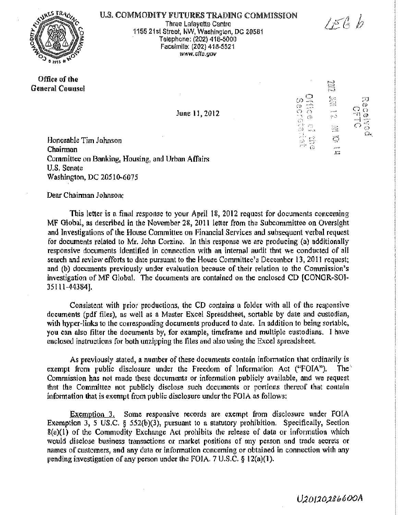

#### U.S. COMMODITY FUTURES TRADING COMMISSION

Three Lafayette Centre 1155 21st Street, NW, Washington, DC 20581 · Telephone: (202) 418..0000 Facsimile: (202) 418-5521 www.cftc.gov

June 11, 2012

#### Office of the General Counsel

읖 Défice es file<br>Déficiencie .<br>Araw Ł. ìę. ಥೆ  $\mathbb{C}^*$ 

 $\omega$ 

 $156b$ 

:;~J  $\ddot{\text{c}}$ C?o  $^{\prime\prime\prime\prime}$  (c)  $^{\prime\prime}$ ......... , -t.»>o•  $\circ$   $^{\circ}_{\circ}$ Ll.,

Honorable Tim Johnson Chairman Committee on Banking, Housing, and Urban Affairs U.S. Senate Washington, DC 20510-6075

Dear Chainnan Johnson:

This letter is a final response to your April 18, 2012 request for documents concerning MF Global, as described in the November 28, 2011 letter from the Subcommittee on Oversight and Investigations of the House Committee on Financial Services and subsequent verbal request for documents related to Mr. John Corzine. In this response we are producing (a) additionally responsive documents identified in connection with an internal audit that we conducted of all search and review efforts to date pursuant to the House Committee's December 13, 2011 request; and {b) documents previously under evaluation because of their relation to the Commission's investigation of MF Global. The documents are contained on the enclosed CD [CONGR-SOI-35111-44384].

Consistent with prior productions, the CD contains a folder with all of the responsive documents (pdf files). as well as a Master Excel Spreadsheet, sortable by date and custodian, with hyper-links to the corresponding documents produced to date. In addition to being sortable, you can also filter the documents by, for example, timeframe and multiple custodians. l have enclosed instructions for both unzipping the files and also using the Excel spreadsheet.

As previously stated, a number of these documents contain information that ordinarily is exempt from public disclosure under the Freedom of Information Act ("FOIA"). The Commission has not made these documents or infonnation publicly available, and we request that the Committee not publicly disclose such documents or portions thereof that contain information that is exempt from public disclosure under the  $FOIA$  as follows:

Exemption 3. Some responsive records are exempt from disclosure under FOIA Exemption 3, 5 US.C. § 552(b)(3), pursuant to a statutory prohibition. Specifically, Section 8(a)(l) of the Commodity Exchange Act prohibits the release of data or information which would disclose business transactions or market positions of any person and trade secrets or names of customers, and any data or infonnation concerning or obtained in connection with any pending investigation of any person under the FOIA. 7 U.S.C. § 12(a)(1).

U20120286600A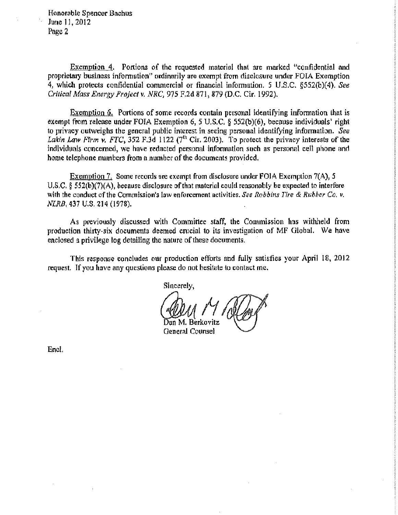Honorable Spencer Bachus June 11, 2012 Page 2

Exemption 4. Portions of the requested material that are marked "confidential and proprietary business information" ordinarily are exempt from disclosure under FOIA Exemption 4, which protects confidential commercial or financial information. 5 U.S.C. §552(b)(4). *See Critical Mass Energy Project v. NRC,* 975 F,2d 871: 879 (D.C. Cir. 1992).

 $Ex$ emption 6. Portions of some records contain personal identifying information that is exempt from release under FOIA Exemption 6, *5* U.S.C. § 552(b)(6), because individuals' right to privacy outweighs the general public interest in seeing personal identifying information. *See*  Lakin Law Firm v. FTC,  $352$  F.3d 1122 (7<sup>th</sup> Cir. 2003). To protect the privacy interests of the individuals concerned, we have redacted personal information such as personal cell phone and home telephone numbers from a number of the documents provided.

Exemption 7. Some records are exempt from disclosure under FOIA Exemption 7(A), *5*  U.S.C.  $\delta$  552(b)(7)(A), because disclosure of that material could reasonably be expected to interfere with the conduct of the Commission's law enforcement activities. *See Robbins Tire* & *Rubber Co. v. NLRB,* 437 U.S. 214 (1978).

As previously discussed with Committee staff, the Commission has withheld from production thirty-six documents deemed crucial to its investigation of MF Global. We have enclosed a privilege log detailing the nature of these documents.

This response concludes our production efforts and fully satisfies your April 18, 2012 request. If you have any questions please do not hesitate to contact me.

Sincerely,

5an M. Berkovitz General Counsel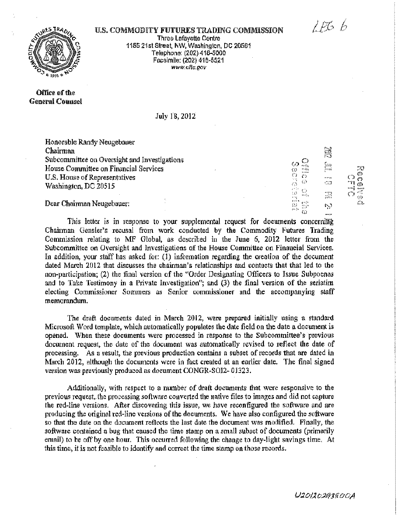$256b$ 

 $\Xi^-$ 

;.1:)  $\bar{\mathbb{Q}}$  $\ddot{\sigma}$  $\frac{1}{2}$  $\frac{1}{2}$ "··· U) *Cl...* 

 $\tilde{\mathcal{L}}$ 

 $\tilde{\mathbb{C}}$ 

 $\cdots$ 

rii

 $\begin{array}{ccc} \circ&\circ&\circ&\circ&\circ\\ \circ&\circ&\circ&\circ&\circ\\ \circ&\circ&\circ&\circ&\circ\end{array}$ 

# **TRAO**

U.S. COMMODITY FUTURES TRADING COMMISSION Three Lafayette Centre 1165 21st Street, NW, Washington, DC 20581 Telephone: (202) 418-5000 Facsim!le: (202) 418-5521 www.ofla.gov

Office of the General Counsel

July 18, 2012

Honorable Randy Neugebauer Chairman Subcommittee on Oversight and Investigations House Committee on Financial Services U.S. House of Representatives Washington, DC 20515

Dear Chairman Neugebauer:

This letter is in response to your supplemental request for documents concerning Chairman Gensler's recusal from work conducted by the Commodity Futures Trading Commission relating to MF Global, as described in the June 6, 2012 letter from the Subcommittee on Oversight and Investigations of the House Committee on Financial Services. In addition, your staff has asked for: (1) information regarding the creation of the document dated March 2012 that discusses the chairman's relationships and contacts that that led to the non·participation; (2) the final version of the "Order Designating Officers to Issue Subpoenas and to Take Testimony in a Private Investigation"; and  $(3)$  the final version of the seriatim electing Commissioner Sommers as Senior commissioner and the accompanying staff memorandum.

The draft documents dated in March 2012, were prepared initially using a standard Microsoft Word template, which automatically populates the date field on the date a document is opened. When these documents were processed in response to the Subcommittee's previous document request, the date of the document was automatically revised to reflect the date of processing. As a result, the previous production contains a subset of records that are dated in March 2012, although the documents were in fact created at an earlier date. The final signed version was previously produced as document CONGR-SOI2- 01323.

Additionally, with respect to a number of draft documents that were responsive to the previous request,. the processing software converted the native files to images and did not capture the red-line versions. After discovering this issue, we have reconfigured the software and are producing the original red-line versions of the documents, We have also configured the software so that the date on the document reflects the last date the document was modified. Finally, the software contained a bug that caused the time stamp on a small subset of documents (primarily email) to be off by one hour. This occurred following the change to day~light savings time. At this time, it is not feasible to identify and correct the time stamp on those records.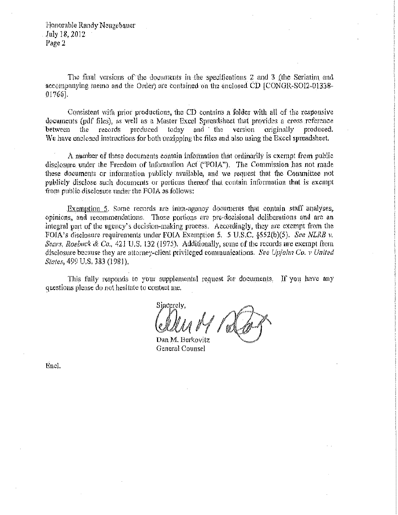Honorable Randy Neugebauer July 18, 2012 Page 2

The final versions of the documents in the specifications 2 and 3 (the Seriatim and accompanying memo and the Order) are contained on the enclosed  $CD$   $ICONGR-SOI2-01338-$ 01766].

Consistent with prior productions, the CD contains a folder with all of the responsive documents (pdf files), as well as a Master Excel Spreadsheet that provides a cross reference between the records produced today and the version originally produced. We have enclosed instructions for both unzipping the files and also using the Excel spreadsheet.

A number of these documents contain information that ordinarily is exempt from public disclosure under the Freedom of Information Act ("FOIA"). The Commission has not made these documents or information publicly available, and we request that the Committee not publicly disclose such documents or portions thereof that contain information that is exempt from public disclosure under the FOIA as follows:

Exemption 5. Some records are intra-agency documents that contain staff analyses, opinions, and recommendations. Those portions are pre-decisional deliberations and are an integral part of the agency's decision-making process. Accordingly, they are exempt from the FOIA's disclosure requirements under FOIA Exemption 5. 5 U.S.C. §552(b)(5). *See NLRB v. Sears, Roebuck & Co.*, 421 U.S. 132 (1975). Additionally, some of the records are exempt from disclosure because they are attorney-client privileged communications. *See Upjohn Co. v United* States, 499 U.S. 383 (1981).

This fully responds to your supplemental request for documents. If you have any questions please do not hesitate to contact me.

Sincerely.

Dan M. Berkovitz General Counsel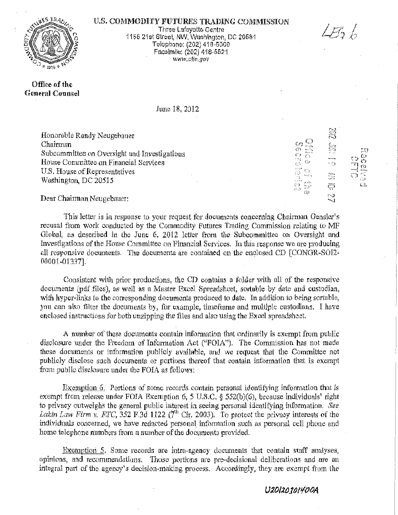

426 b

:::;r *::::.* 

the discussion

N.

tian<br>∷  $\langle \rangle$  $\zeta^{\rm in}$  $\tilde{\Omega}$ 

 $\omega$ 

.-.~ . ::.~1: \'"•: *..* .. .... \'Ii

Office of the General Counsel

Three Lafayette Centre i 165 21 st Street, NW. Washington, DC 20561 Telephone: (202) 418-6000 Facslmlle: (202) 418-5521 www.c!to.gov

June 18, 2012

Honorable Randy Neugebauer Chairman Subcommittee on Oversight and Investigations House Conunittee on Financial Services U.S. House of Representatives Washlngton, DC 20515

Dear Chairman Neugebauer:

This letter is in response to your request for documents concerning Chairman Gensler's recusal from work conducted by the Commodity Futures Trading Commission relating to MF Global, as described in the June 6, 2012 letter from the Subcommittee on Oversight and Investigations of the House Committee on Financial Services. In this response we are producing all responsive documents. The documents are contained on the enclosed CD [CONGR-SOI2-0000l~Ol337].

Consistent with prior productions, the CD contains a folder with all of the responsive documents (pdf files), as well as a Master Excel Spreadsheet, sortable by date and custodian, with hyper-links to the corresponding documents produced to date. In addition to being sortable, you can also filter the documents by, for example, timeframe and multiple custodians. I have enclosed instructions for both unzipping the files and also using the Excel spreadsheet.

A number of these documents contain information that ordinarily is exempt from public disclosure under the Freedom of Information Act ("FOIA"). The Commission has not made these documents or information publicly available: and we request that the Committee not publicly disclose such documents or portions thereof that contain information that is exempt from public disclosure under the FOIA as follows:

Exemption 6. Portions of some records contain personal identifying information that is exempt from release under FOIA Exemption 6, 5 U.S.C. § 552(b)(6), because individuals' right to privacy outweighs the general public interest in seeing personal identifying information. See *Lakin Law Firm v. FIC,* 352 F.3d 1122 ( $7<sup>th</sup>$  Cir. 2003). To protect the privacy interests of the individuals concerned, we have redacted personal information such as personal cell phone and home telephone numbers from a number of the documents provided.

Exemption 5. Some records are intra-agency documents that contain staff analyses, opinions, and recommendations. Those portions are pre-decisional deliberations and are all integral part of the. agency's decision~making process. Accordingly, they are exempt from the

#### U20120 *101400A*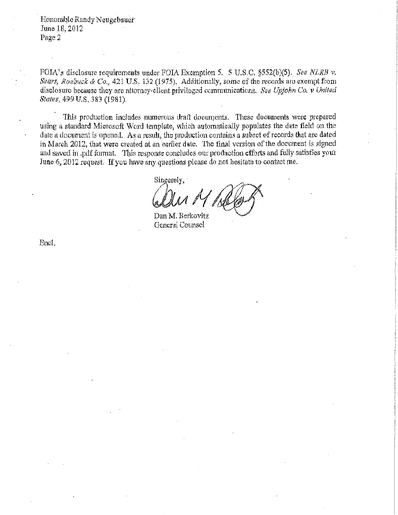Honorable Randy Neugebauer<sup>®</sup> June 18) 2012 Page2

FOIA's disclosure requirements under FOIA Exemption *5.* 5 U.S.C. §552(b)(5)., *See NLRB v. Sears, Roebuck* & *Co.* <sup>1</sup>421 U.S. 132 (1975). Additionally, some of the records are exempt from disclosure because they are attomey~client privileged communications. *See Upjohn Co, v United States,* 499 U.S. 383 (1981),

This production includes numerous draft documents. These documents were prepared using a standard Microsoft Word template, which automatically populates the date field on the date a document is opened. As a result, the production contains a subset of records that are dated in March 2012, that were created at an earlier date. The final version of the document is signed and saved in .pdf format. This response concludes our production efforts and fully satisfies your June 6, 2012 request. If you have any questions please do not hesitate to contact me.

Sincerely,

Dan M. Berkovitz General Counsel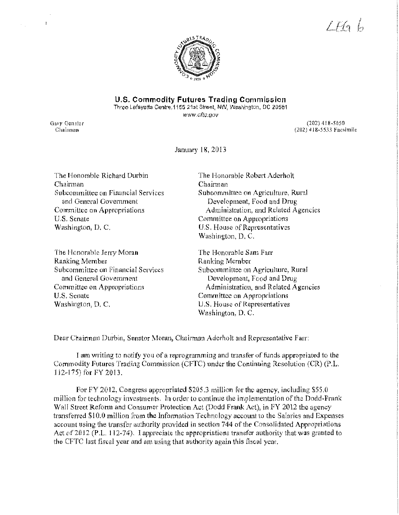$LEAb$ 



#### U.S. Commodity Futures Trading Commission

Three Lafayette Centre, 1155 21st Street, NW, Washington, DC 20581

www.cftc.gov

Gary Gensler Chainman

 $\mathbf{R}$ 

 $\epsilon_{\rm{min}}$ 

(202)4 18 -5050 (202) 418-5533 Facsimile

January 18, 2013

The Honorable Richard Durbin Chairman Subcommittee on Financial Services and General Government Committee on Appropriations U.S. Senate Washington, D. C.

The Honorable Jerry Moran Ranking Member Subcommittee on Financial Services and General Government Committee on Appropriations U.S. Senate Washington, D, C.

The Honorable Robert Aderholt Chairman Subcommittee on Agriculture, Rural Development, Food and Drug Administration) and Related Agencies Committee on Appropriations U.S. House of Representatives Washington, D. C.

The Honorable Sam Farr Ranking Member Subcommittee on Agriculture, Rural Development, Food and Drug Administration, and Related Agencies Committee on Appropriations U.S. House of Representatives Washington, D. C.

Dear Chairman Durbin, Senator Moran, Chairman Aderholt and Representative Farr:

I am writing to notify you of a reprogramming and transfer of funds appropriated to the Commodity Futures Trading Commission (CFTC) under the Continuing Resolution (CR) (P.L. 112-175) for FY 2013.

For FY 2012, Congress appropriated \$205.3 million for the agency, including \$55.0 million for technology investments. In order to continue the implementation of the Dodd-Frank Wall Street Reform and Consumet Ptotection Act (Dodd Frank Act), in FY 2012 the agency transferred \$10.0 million from the Information Technology account to the Salaries and Expenses account using the transfer authority provided in section 744 of the Consolidated Appropriations Act of 2012 (P.L. 112-74). I appreciate the appropriations transfer authority that was granted to the CFTC last fiscal year and am using that authority again this fiscal year.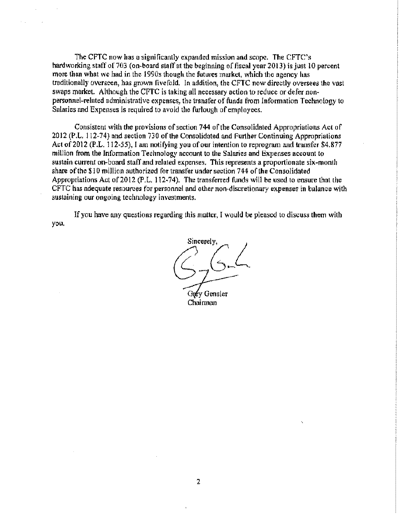The CFTC now has a significantly expanded mission and scope. The CFTC's hardworking staff of 703 (on-board staff at the beginning of fiscal year 2013) is just 10 percent more than what we had in the 1990s though the futures market, which the agency has traditionally overseen, has grown fivefold. In addition, the CFTC now directly oversees the vast swaps market. Although the CFTC is taking all necessary action to reduce or defer nonpersonnel-related administrative expenses, the transfer of funds from Information Technology to Salaries and Expenses is required to avoid the furlough of employees.

Consistent with the provisions of section 744 of the Consolidated Appropriations Act of 2012 (P.L. 112-74) and section 730 of the Consolidated and Further Continuing Appropriations Act of 2012 (P.L. 112-55), I am notifying you of our intention to reprogram and transfer \$4.877 million from the Infonnation Technology account to the Salaries and Expenses account to sustain current on~board staff and related expenses, This represents a proportionate six-month share of the \$10 million authorized for transfer under section 744 of the Consolidated Appropriations Act of2012 (P.L. 112-74). The transferred funds will be used to ensure that the CFTC has adequate resources for personnel and other non-discretionary expenses in balance with sustaining our ongoing technology investments.

you. If you have any questions regarding this matter, I would be pleased to discuss them with

Sincerely. Gary Gensler Chairman

2